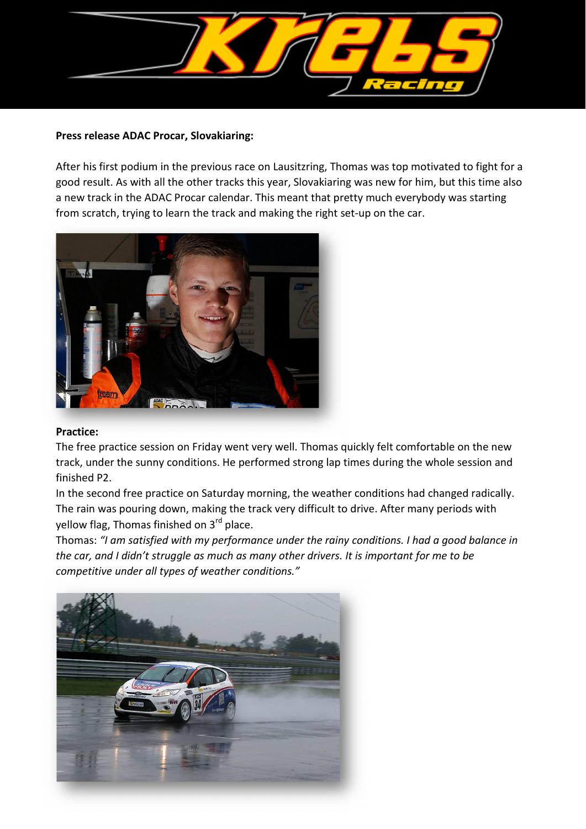

### **Press release ADAC Procar, Slovakiaring:**

After his first podium in the previous race on Lausitzring, Thomas was top motivated to fight for a good result. As with all the other tracks this year, Slovakiaring was new for him, but this time also a new track in the ADAC Procar calendar. This meant that pretty much everybody was starting from scratch, trying to learn the track and making the right set-up on the car.



#### **Practice:**

The free practice session on Friday went very well. Thomas quickly felt comfortable on the new track, under the sunny conditions. He performed strong lap times during the whole session and finished P2.

In the second free practice on Saturday morning, the weather conditions had changed radically. The rain was pouring down, making the track very difficult to drive. After many periods with yellow flag, Thomas finished on 3rd place.

Thomas: *"I am satisfied with my performance under the rainy conditions. I had a good balance in the car, and I didn't struggle as much as many other drivers. It is important for me to be competitive under all types of weather conditions."*

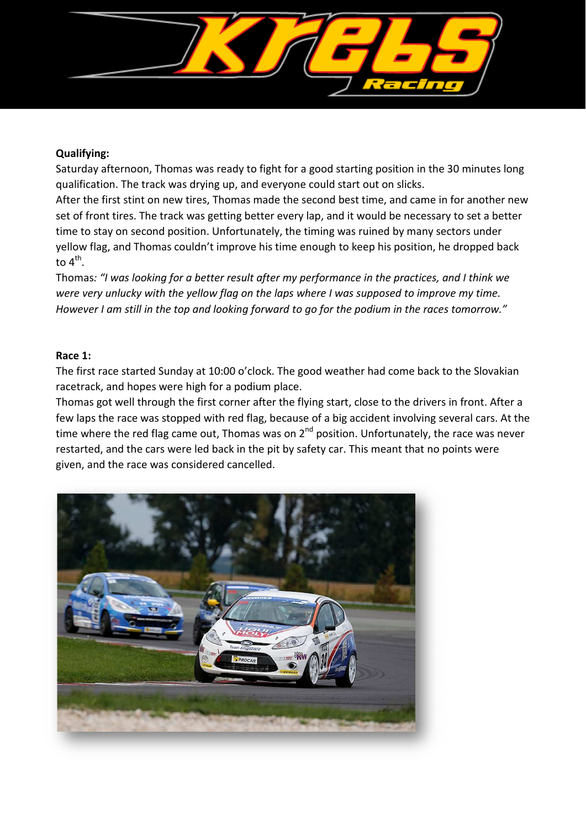

# **Qualifying:**

Saturday afternoon, Thomas was ready to fight for a good starting position in the 30 minutes long qualification. The track was drying up, and everyone could start out on slicks.

After the first stint on new tires, Thomas made the second best time, and came in for another new set of front tires. The track was getting better every lap, and it would be necessary to set a better time to stay on second position. Unfortunately, the timing was ruined by many sectors under yellow flag, and Thomas couldn't improve his time enough to keep his position, he dropped back to  $4^{\text{th}}$ .

Thomas*: "I was looking for a better result after my performance in the practices, and I think we were very unlucky with the yellow flag on the laps where I was supposed to improve my time. However I am still in the top and looking forward to go for the podium in the races tomorrow."*

## **Race 1:**

The first race started Sunday at 10:00 o'clock. The good weather had come back to the Slovakian racetrack, and hopes were high for a podium place.

Thomas got well through the first corner after the flying start, close to the drivers in front. After a few laps the race was stopped with red flag, because of a big accident involving several cars. At the time where the red flag came out, Thomas was on  $2^{nd}$  position. Unfortunately, the race was never restarted, and the cars were led back in the pit by safety car. This meant that no points were given, and the race was considered cancelled.